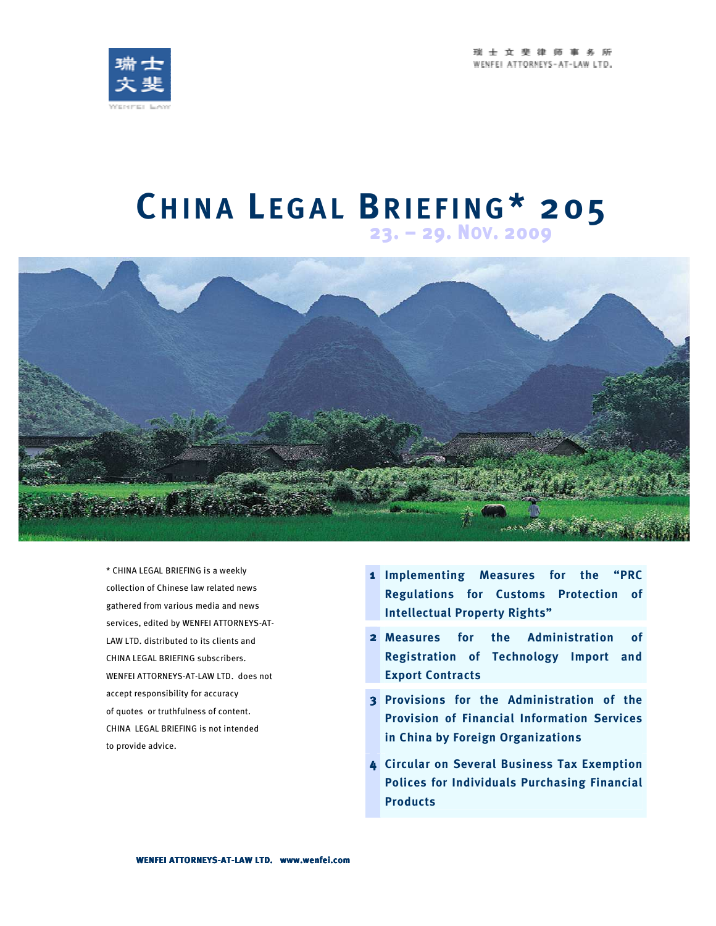瑞士文斐律师事务所 WENFEL ATTORNEYS-AT-LAW LTD.



# **CH I N A L E G A L BR I E F I N G\* 205 23. – 29. <sup>N</sup>OV. <sup>2009</sup>**



\* CHINA LEGAL BRIEFING is a weekly collection of Chinese law related news gathered from various media and news services, edited by WENFEI ATTORNEYS-AT-LAW LTD. distributed to its clients and CHINA LEGAL BRIEFING subscribers. WENFEI ATTORNEYS-AT-LAW LTD. does not accept responsibility for accuracy of quotes or truthfulness of content. CHINA LEGAL BRIEFING is not intended to provide advice.

- **1 Implementing Measures for the "PRC Regulations for Customs Protection of Intellectual Property Rights"**
- **2 Measures for the Administration of Registration of Technology Import and Export Contracts**
- **3 Provisions for the Administration of the Provision of Financial Information Services in China by Foreign Organizations**
- **4 Circular on Several Business Tax Exemption Polices for Individuals Purchasing Financial Products**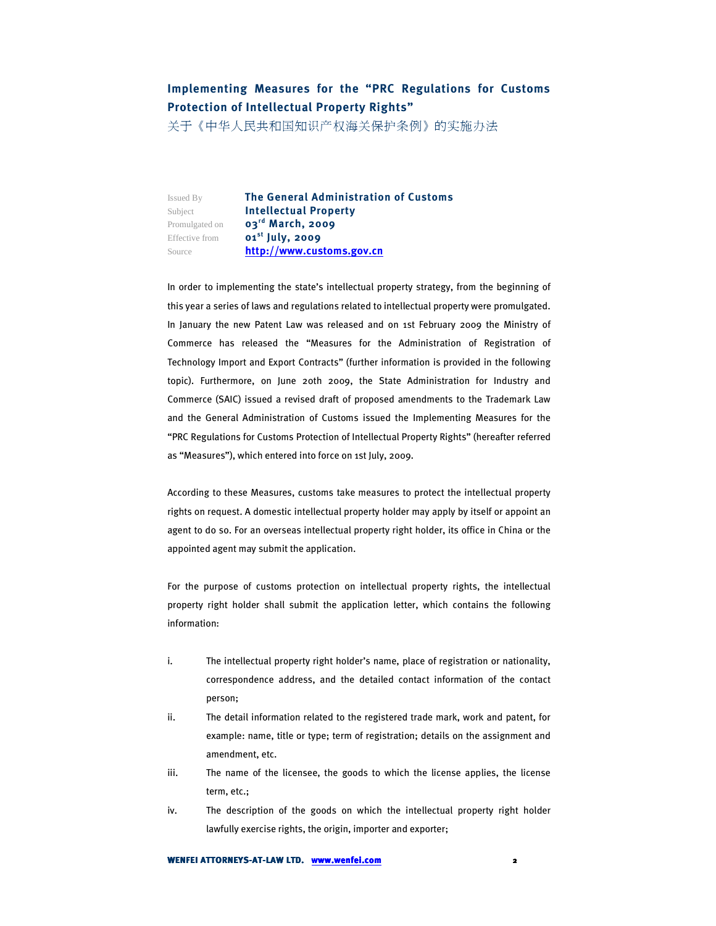### **Implementing Measures for the "PRC Regulations for Customs Protection of Intellectual Property Rights"**

关于《中华人民共和国知识产权海关保护条例》的实施办法

Issued By **The General Administration of Customs**  Subject **Intellectual Property**  Promulgated on **03rd March, 2009**  Effective from **01st July, 2009**  Source **http://www.customs.gov.cn**

In order to implementing the state's intellectual property strategy, from the beginning of this year a series of laws and regulations related to intellectual property were promulgated. In January the new Patent Law was released and on 1st February 2009 the Ministry of Commerce has released the "Measures for the Administration of Registration of Technology Import and Export Contracts" (further information is provided in the following topic). Furthermore, on June 20th 2009, the State Administration for Industry and Commerce (SAIC) issued a revised draft of proposed amendments to the Trademark Law and the General Administration of Customs issued the Implementing Measures for the "PRC Regulations for Customs Protection of Intellectual Property Rights" (hereafter referred as "Measures"), which entered into force on 1st July, 2009.

According to these Measures, customs take measures to protect the intellectual property rights on request. A domestic intellectual property holder may apply by itself or appoint an agent to do so. For an overseas intellectual property right holder, its office in China or the appointed agent may submit the application.

For the purpose of customs protection on intellectual property rights, the intellectual property right holder shall submit the application letter, which contains the following information:

- i. The intellectual property right holder's name, place of registration or nationality, correspondence address, and the detailed contact information of the contact person;
- ii. The detail information related to the registered trade mark, work and patent, for example: name, title or type; term of registration; details on the assignment and amendment, etc.
- iii. The name of the licensee, the goods to which the license applies, the license term, etc.;
- iv. The description of the goods on which the intellectual property right holder lawfully exercise rights, the origin, importer and exporter;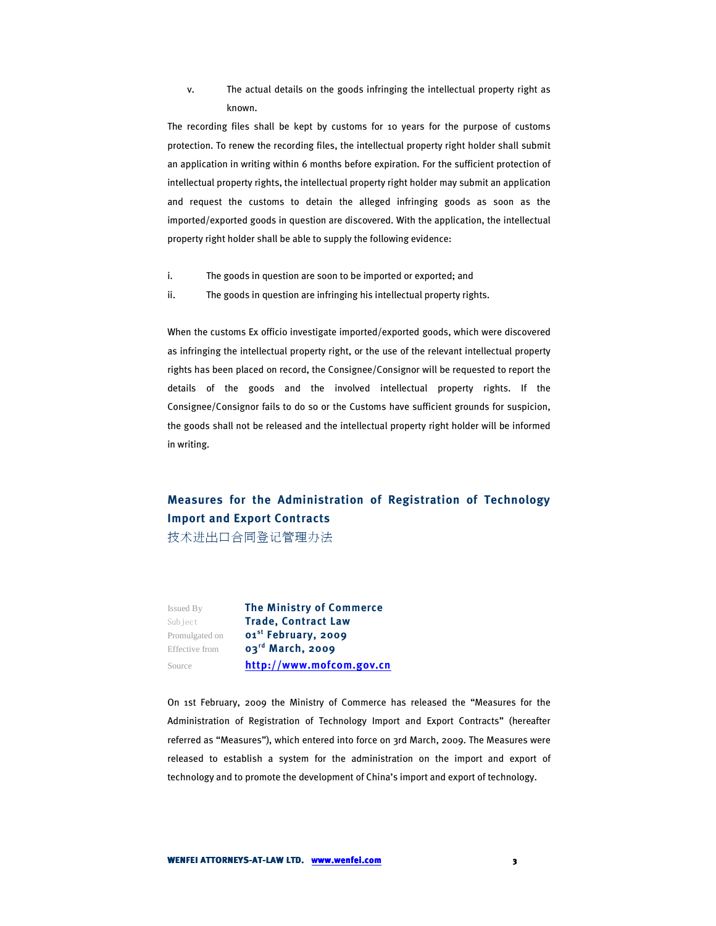v. The actual details on the goods infringing the intellectual property right as known.

The recording files shall be kept by customs for 10 years for the purpose of customs protection. To renew the recording files, the intellectual property right holder shall submit an application in writing within 6 months before expiration. For the sufficient protection of intellectual property rights, the intellectual property right holder may submit an application and request the customs to detain the alleged infringing goods as soon as the imported/exported goods in question are discovered. With the application, the intellectual property right holder shall be able to supply the following evidence:

- i. The goods in question are soon to be imported or exported; and
- ii. The goods in question are infringing his intellectual property rights.

When the customs Ex officio investigate imported/exported goods, which were discovered as infringing the intellectual property right, or the use of the relevant intellectual property rights has been placed on record, the Consignee/Consignor will be requested to report the details of the goods and the involved intellectual property rights. If the Consignee/Consignor fails to do so or the Customs have sufficient grounds for suspicion, the goods shall not be released and the intellectual property right holder will be informed in writing.

## **Measures for the Administration of Registration of Technology Import and Export Contracts**

技术进出口合同登记管理办法

Issued By **The Ministry of Commerce**  Subject **Trade, Contract Law**  Promulgated on **01st February, 2009**  Effective from **03rd March, 2009** Source **http://www.mofcom.gov.cn**

On 1st February, 2009 the Ministry of Commerce has released the "Measures for the Administration of Registration of Technology Import and Export Contracts" (hereafter referred as "Measures"), which entered into force on 3rd March, 2009. The Measures were released to establish a system for the administration on the import and export of technology and to promote the development of China's import and export of technology.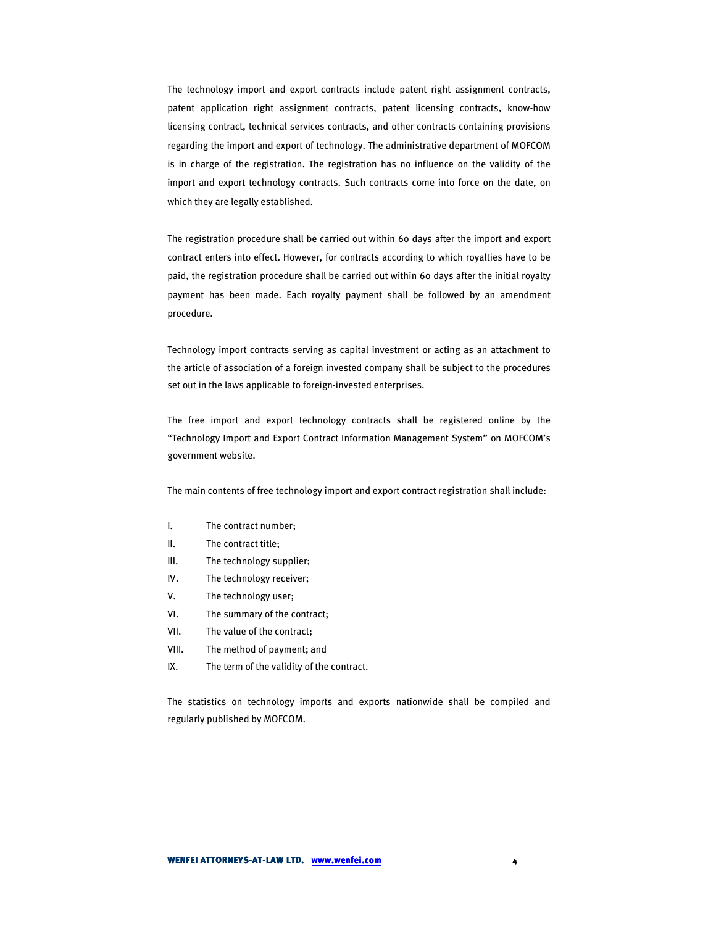The technology import and export contracts include patent right assignment contracts, patent application right assignment contracts, patent licensing contracts, know-how licensing contract, technical services contracts, and other contracts containing provisions regarding the import and export of technology. The administrative department of MOFCOM is in charge of the registration. The registration has no influence on the validity of the import and export technology contracts. Such contracts come into force on the date, on which they are legally established.

The registration procedure shall be carried out within 60 days after the import and export contract enters into effect. However, for contracts according to which royalties have to be paid, the registration procedure shall be carried out within 60 days after the initial royalty payment has been made. Each royalty payment shall be followed by an amendment procedure.

Technology import contracts serving as capital investment or acting as an attachment to the article of association of a foreign invested company shall be subject to the procedures set out in the laws applicable to foreign-invested enterprises.

The free import and export technology contracts shall be registered online by the "Technology Import and Export Contract Information Management System" on MOFCOM's government website.

The main contents of free technology import and export contract registration shall include:

- I. The contract number;
- II. The contract title;
- III. The technology supplier;
- IV. The technology receiver;
- V. The technology user;
- VI. The summary of the contract;
- VII. The value of the contract;
- VIII. The method of payment; and
- IX. The term of the validity of the contract.

The statistics on technology imports and exports nationwide shall be compiled and regularly published by MOFCOM.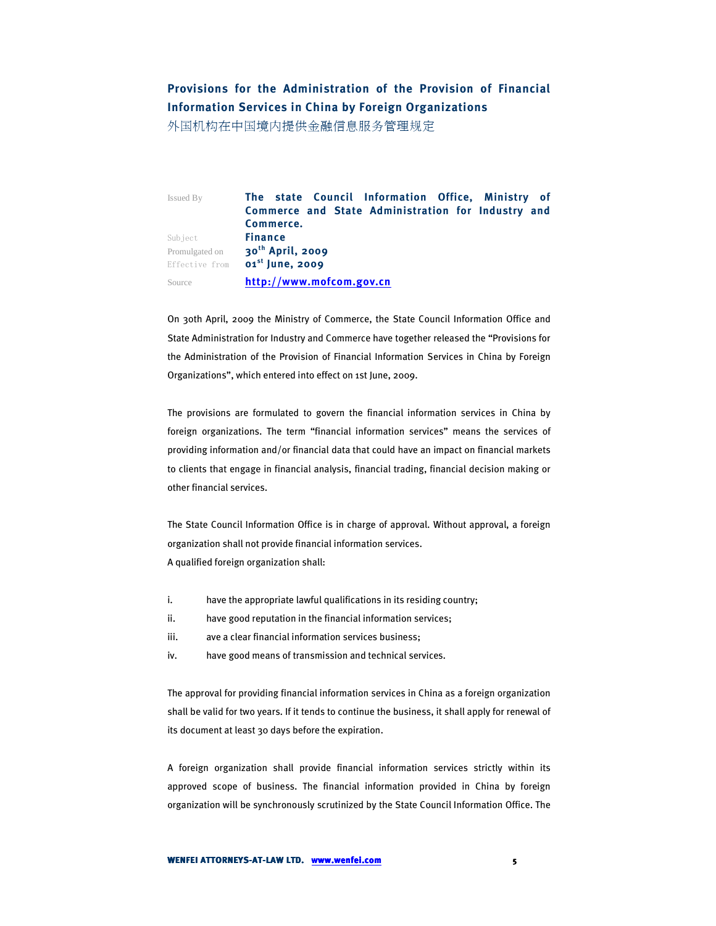### **Provisions for the Administration of the Provision of Financial Information Services in China by Foreign Organizations**

外国机构在中国境内提供金融信息服务管理规定

Issued By **The state Council Information Office, Ministry of Commerce and State Administration for Industry and Commerce.**  Subject **Finance**  Promulgated on **30th April, 2009**  Effective from **01st June, 2009** Source **http://www.mofcom.gov.cn**

On 30th April, 2009 the Ministry of Commerce, the State Council Information Office and State Administration for Industry and Commerce have together released the "Provisions for the Administration of the Provision of Financial Information Services in China by Foreign Organizations", which entered into effect on 1st June, 2009.

The provisions are formulated to govern the financial information services in China by foreign organizations. The term "financial information services" means the services of providing information and/or financial data that could have an impact on financial markets to clients that engage in financial analysis, financial trading, financial decision making or other financial services.

The State Council Information Office is in charge of approval. Without approval, a foreign organization shall not provide financial information services. A qualified foreign organization shall:

- i. have the appropriate lawful qualifications in its residing country;
- ii. have good reputation in the financial information services;
- iii. ave a clear financial information services business;
- iv. have good means of transmission and technical services.

The approval for providing financial information services in China as a foreign organization shall be valid for two years. If it tends to continue the business, it shall apply for renewal of its document at least 30 days before the expiration.

A foreign organization shall provide financial information services strictly within its approved scope of business. The financial information provided in China by foreign organization will be synchronously scrutinized by the State Council Information Office. The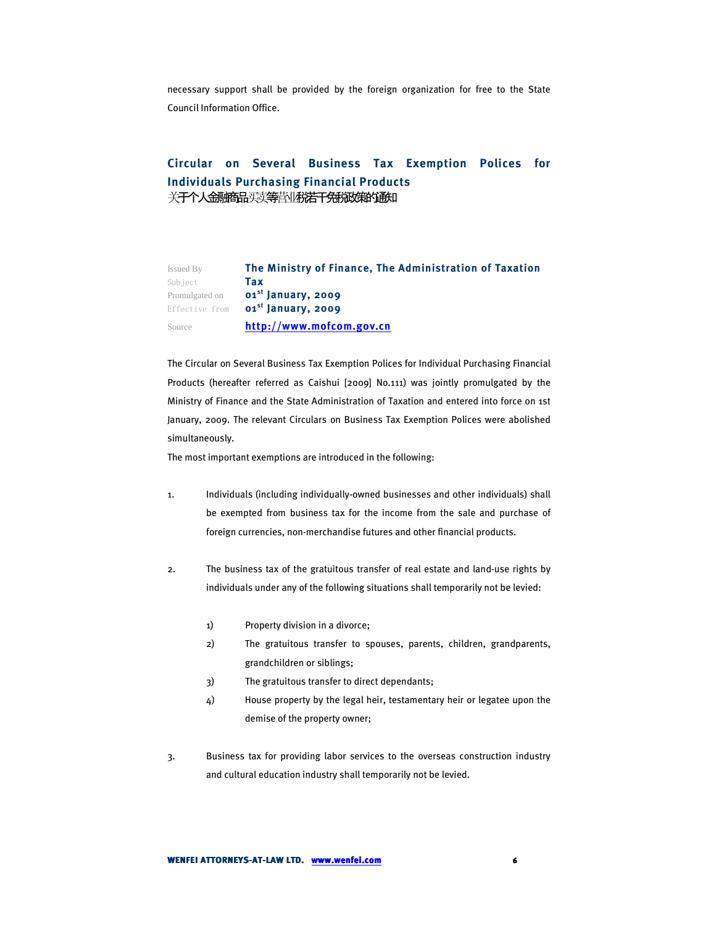necessary support shall be provided by the foreign organization for free to the State Council Information Office.

#### **Circular on Several Business Tax Exemption Polices for Individuals Purchasing Financial Products**  关于个人金融商品买卖等营业税若干免税政策的通知

| Issued By      | The Ministry of Finance, The Administration of Taxation |
|----------------|---------------------------------------------------------|
| Subject        | Tax                                                     |
| Promulgated on | $01st$ January, 2009                                    |
|                | Effective from <b>01<sup>st</sup> January, 2009</b>     |
| Source         | http://www.mofcom.gov.cn                                |

The Circular on Several Business Tax Exemption Polices for Individual Purchasing Financial Products (hereafter referred as Caishui [2009] No.111) was jointly promulgated by the Ministry of Finance and the State Administration of Taxation and entered into force on 1st January, 2009. The relevant Circulars on Business Tax Exemption Polices were abolished simultaneously.

The most important exemptions are introduced in the following:

- 1. Individuals (including individually-owned businesses and other individuals) shall be exempted from business tax for the income from the sale and purchase of foreign currencies, non-merchandise futures and other financial products.
- 2. The business tax of the gratuitous transfer of real estate and land-use rights by individuals under any of the following situations shall temporarily not be levied:
	- 1) Property division in a divorce;
	- 2) The gratuitous transfer to spouses, parents, children, grandparents, grandchildren or siblings;
	- 3) The gratuitous transfer to direct dependants;
	- 4) House property by the legal heir, testamentary heir or legatee upon the demise of the property owner;
- 3. Business tax for providing labor services to the overseas construction industry and cultural education industry shall temporarily not be levied.